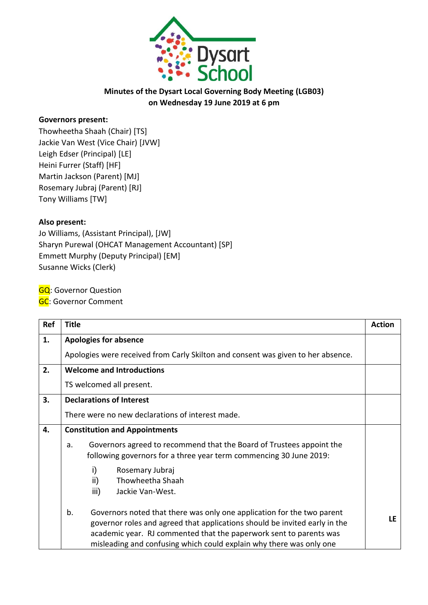

### **Minutes of the Dysart Local Governing Body Meeting (LGB03) on Wednesday 19 June 2019 at 6 pm**

#### **Governors present:**

Thowheetha Shaah (Chair) [TS] Jackie Van West (Vice Chair) [JVW] Leigh Edser (Principal) [LE] Heini Furrer (Staff) [HF] Martin Jackson (Parent) [MJ] Rosemary Jubraj (Parent) [RJ] Tony Williams [TW]

#### **Also present:**

Jo Williams, (Assistant Principal), [JW] Sharyn Purewal (OHCAT Management Accountant) [SP] Emmett Murphy (Deputy Principal) [EM] Susanne Wicks (Clerk)

**GQ: Governor Question** 

**GC**: Governor Comment

| Ref | <b>Title</b>                                                                                                                                                                                                                                                                                            | <b>Action</b> |
|-----|---------------------------------------------------------------------------------------------------------------------------------------------------------------------------------------------------------------------------------------------------------------------------------------------------------|---------------|
| 1.  | <b>Apologies for absence</b>                                                                                                                                                                                                                                                                            |               |
|     | Apologies were received from Carly Skilton and consent was given to her absence.                                                                                                                                                                                                                        |               |
| 2.  | <b>Welcome and Introductions</b>                                                                                                                                                                                                                                                                        |               |
|     | TS welcomed all present.                                                                                                                                                                                                                                                                                |               |
| 3.  | <b>Declarations of Interest</b>                                                                                                                                                                                                                                                                         |               |
|     | There were no new declarations of interest made.                                                                                                                                                                                                                                                        |               |
| 4.  | <b>Constitution and Appointments</b>                                                                                                                                                                                                                                                                    |               |
|     | Governors agreed to recommend that the Board of Trustees appoint the<br>a.<br>following governors for a three year term commencing 30 June 2019:                                                                                                                                                        |               |
|     | i)<br>Rosemary Jubraj<br>ii)<br>Thowheetha Shaah<br>iii)<br>Jackie Van-West.                                                                                                                                                                                                                            |               |
|     | b.<br>Governors noted that there was only one application for the two parent<br>governor roles and agreed that applications should be invited early in the<br>academic year. RJ commented that the paperwork sent to parents was<br>misleading and confusing which could explain why there was only one | LF.           |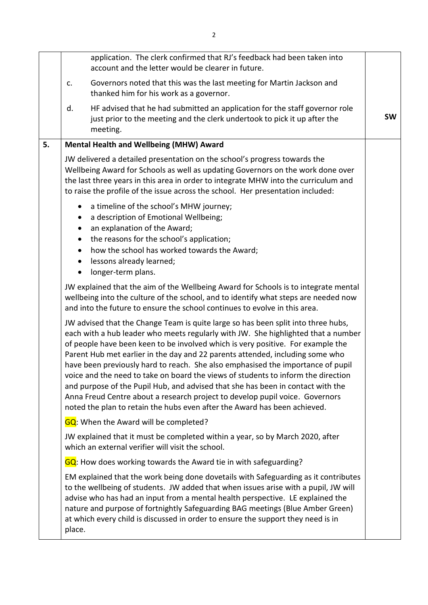|    |                | application. The clerk confirmed that RJ's feedback had been taken into<br>account and the letter would be clearer in future.                                                                                                                                                                                                                                                                                                                                                                                                                                                                                                                                                                                                                                      |           |
|----|----------------|--------------------------------------------------------------------------------------------------------------------------------------------------------------------------------------------------------------------------------------------------------------------------------------------------------------------------------------------------------------------------------------------------------------------------------------------------------------------------------------------------------------------------------------------------------------------------------------------------------------------------------------------------------------------------------------------------------------------------------------------------------------------|-----------|
|    | c.             | Governors noted that this was the last meeting for Martin Jackson and<br>thanked him for his work as a governor.                                                                                                                                                                                                                                                                                                                                                                                                                                                                                                                                                                                                                                                   |           |
|    | d.             | HF advised that he had submitted an application for the staff governor role<br>just prior to the meeting and the clerk undertook to pick it up after the<br>meeting.                                                                                                                                                                                                                                                                                                                                                                                                                                                                                                                                                                                               | <b>SW</b> |
| 5. |                | Mental Health and Wellbeing (MHW) Award                                                                                                                                                                                                                                                                                                                                                                                                                                                                                                                                                                                                                                                                                                                            |           |
|    |                | JW delivered a detailed presentation on the school's progress towards the<br>Wellbeing Award for Schools as well as updating Governors on the work done over<br>the last three years in this area in order to integrate MHW into the curriculum and<br>to raise the profile of the issue across the school. Her presentation included:                                                                                                                                                                                                                                                                                                                                                                                                                             |           |
|    | $\bullet$<br>٠ | a timeline of the school's MHW journey;<br>a description of Emotional Wellbeing;<br>an explanation of the Award;<br>the reasons for the school's application;<br>how the school has worked towards the Award;<br>lessons already learned;<br>longer-term plans.                                                                                                                                                                                                                                                                                                                                                                                                                                                                                                    |           |
|    |                | JW explained that the aim of the Wellbeing Award for Schools is to integrate mental<br>wellbeing into the culture of the school, and to identify what steps are needed now<br>and into the future to ensure the school continues to evolve in this area.                                                                                                                                                                                                                                                                                                                                                                                                                                                                                                           |           |
|    |                | JW advised that the Change Team is quite large so has been split into three hubs,<br>each with a hub leader who meets regularly with JW. She highlighted that a number<br>of people have been keen to be involved which is very positive. For example the<br>Parent Hub met earlier in the day and 22 parents attended, including some who<br>have been previously hard to reach. She also emphasised the importance of pupil<br>voice and the need to take on board the views of students to inform the direction<br>and purpose of the Pupil Hub, and advised that she has been in contact with the<br>Anna Freud Centre about a research project to develop pupil voice. Governors<br>noted the plan to retain the hubs even after the Award has been achieved. |           |
|    |                | <b>GQ</b> : When the Award will be completed?                                                                                                                                                                                                                                                                                                                                                                                                                                                                                                                                                                                                                                                                                                                      |           |
|    |                | JW explained that it must be completed within a year, so by March 2020, after<br>which an external verifier will visit the school.                                                                                                                                                                                                                                                                                                                                                                                                                                                                                                                                                                                                                                 |           |
|    |                | GQ: How does working towards the Award tie in with safeguarding?                                                                                                                                                                                                                                                                                                                                                                                                                                                                                                                                                                                                                                                                                                   |           |
|    | place.         | EM explained that the work being done dovetails with Safeguarding as it contributes<br>to the wellbeing of students. JW added that when issues arise with a pupil, JW will<br>advise who has had an input from a mental health perspective. LE explained the<br>nature and purpose of fortnightly Safeguarding BAG meetings (Blue Amber Green)<br>at which every child is discussed in order to ensure the support they need is in                                                                                                                                                                                                                                                                                                                                 |           |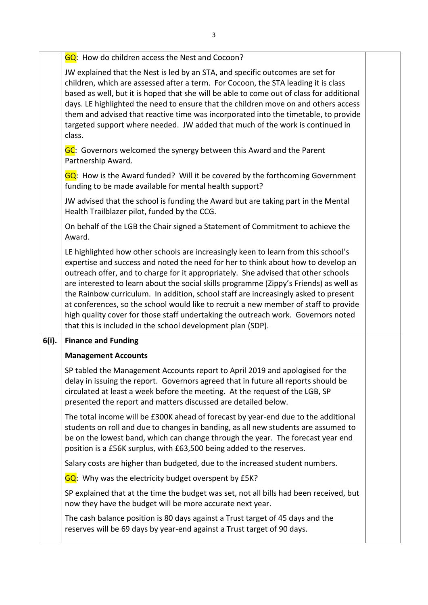|       | GQ: How do children access the Nest and Cocoon?                                                                                                                                                                                                                                                                                                                                                                                                                                                                                                                                                                                                                                            |  |
|-------|--------------------------------------------------------------------------------------------------------------------------------------------------------------------------------------------------------------------------------------------------------------------------------------------------------------------------------------------------------------------------------------------------------------------------------------------------------------------------------------------------------------------------------------------------------------------------------------------------------------------------------------------------------------------------------------------|--|
|       | JW explained that the Nest is led by an STA, and specific outcomes are set for<br>children, which are assessed after a term. For Cocoon, the STA leading it is class<br>based as well, but it is hoped that she will be able to come out of class for additional<br>days. LE highlighted the need to ensure that the children move on and others access<br>them and advised that reactive time was incorporated into the timetable, to provide<br>targeted support where needed. JW added that much of the work is continued in<br>class.                                                                                                                                                  |  |
|       | GC: Governors welcomed the synergy between this Award and the Parent<br>Partnership Award.                                                                                                                                                                                                                                                                                                                                                                                                                                                                                                                                                                                                 |  |
|       | GQ: How is the Award funded? Will it be covered by the forthcoming Government<br>funding to be made available for mental health support?                                                                                                                                                                                                                                                                                                                                                                                                                                                                                                                                                   |  |
|       | JW advised that the school is funding the Award but are taking part in the Mental<br>Health Trailblazer pilot, funded by the CCG.                                                                                                                                                                                                                                                                                                                                                                                                                                                                                                                                                          |  |
|       | On behalf of the LGB the Chair signed a Statement of Commitment to achieve the<br>Award.                                                                                                                                                                                                                                                                                                                                                                                                                                                                                                                                                                                                   |  |
|       | LE highlighted how other schools are increasingly keen to learn from this school's<br>expertise and success and noted the need for her to think about how to develop an<br>outreach offer, and to charge for it appropriately. She advised that other schools<br>are interested to learn about the social skills programme (Zippy's Friends) as well as<br>the Rainbow curriculum. In addition, school staff are increasingly asked to present<br>at conferences, so the school would like to recruit a new member of staff to provide<br>high quality cover for those staff undertaking the outreach work. Governors noted<br>that this is included in the school development plan (SDP). |  |
| 6(i). | <b>Finance and Funding</b>                                                                                                                                                                                                                                                                                                                                                                                                                                                                                                                                                                                                                                                                 |  |
|       | <b>Management Accounts</b>                                                                                                                                                                                                                                                                                                                                                                                                                                                                                                                                                                                                                                                                 |  |
|       | SP tabled the Management Accounts report to April 2019 and apologised for the<br>delay in issuing the report. Governors agreed that in future all reports should be<br>circulated at least a week before the meeting. At the request of the LGB, SP<br>presented the report and matters discussed are detailed below.                                                                                                                                                                                                                                                                                                                                                                      |  |
|       | The total income will be £300K ahead of forecast by year-end due to the additional<br>students on roll and due to changes in banding, as all new students are assumed to<br>be on the lowest band, which can change through the year. The forecast year end<br>position is a £56K surplus, with £63,500 being added to the reserves.                                                                                                                                                                                                                                                                                                                                                       |  |
|       | Salary costs are higher than budgeted, due to the increased student numbers.                                                                                                                                                                                                                                                                                                                                                                                                                                                                                                                                                                                                               |  |
|       | GQ: Why was the electricity budget overspent by £5K?                                                                                                                                                                                                                                                                                                                                                                                                                                                                                                                                                                                                                                       |  |
|       | SP explained that at the time the budget was set, not all bills had been received, but<br>now they have the budget will be more accurate next year.                                                                                                                                                                                                                                                                                                                                                                                                                                                                                                                                        |  |
|       | The cash balance position is 80 days against a Trust target of 45 days and the<br>reserves will be 69 days by year-end against a Trust target of 90 days.                                                                                                                                                                                                                                                                                                                                                                                                                                                                                                                                  |  |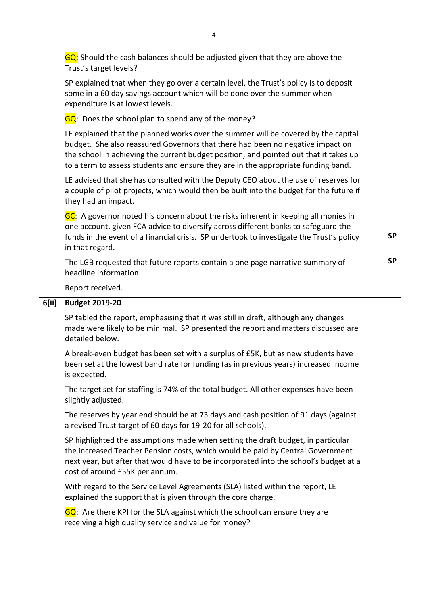|       | GQ: Should the cash balances should be adjusted given that they are above the<br>Trust's target levels?                                                                                                                                                                                                                                            |           |
|-------|----------------------------------------------------------------------------------------------------------------------------------------------------------------------------------------------------------------------------------------------------------------------------------------------------------------------------------------------------|-----------|
|       | SP explained that when they go over a certain level, the Trust's policy is to deposit<br>some in a 60 day savings account which will be done over the summer when<br>expenditure is at lowest levels.                                                                                                                                              |           |
|       | $GQ$ : Does the school plan to spend any of the money?                                                                                                                                                                                                                                                                                             |           |
|       | LE explained that the planned works over the summer will be covered by the capital<br>budget. She also reassured Governors that there had been no negative impact on<br>the school in achieving the current budget position, and pointed out that it takes up<br>to a term to assess students and ensure they are in the appropriate funding band. |           |
|       | LE advised that she has consulted with the Deputy CEO about the use of reserves for<br>a couple of pilot projects, which would then be built into the budget for the future if<br>they had an impact.                                                                                                                                              |           |
|       | GC: A governor noted his concern about the risks inherent in keeping all monies in<br>one account, given FCA advice to diversify across different banks to safeguard the<br>funds in the event of a financial crisis. SP undertook to investigate the Trust's policy<br>in that regard.                                                            | <b>SP</b> |
|       | The LGB requested that future reports contain a one page narrative summary of<br>headline information.                                                                                                                                                                                                                                             | <b>SP</b> |
|       | Report received.                                                                                                                                                                                                                                                                                                                                   |           |
| 6(ii) | <b>Budget 2019-20</b>                                                                                                                                                                                                                                                                                                                              |           |
|       |                                                                                                                                                                                                                                                                                                                                                    |           |
|       | SP tabled the report, emphasising that it was still in draft, although any changes<br>made were likely to be minimal. SP presented the report and matters discussed are<br>detailed below.                                                                                                                                                         |           |
|       | A break-even budget has been set with a surplus of £5K, but as new students have<br>been set at the lowest band rate for funding (as in previous years) increased income<br>is expected.                                                                                                                                                           |           |
|       | The target set for staffing is 74% of the total budget. All other expenses have been<br>slightly adjusted.                                                                                                                                                                                                                                         |           |
|       | The reserves by year end should be at 73 days and cash position of 91 days (against<br>a revised Trust target of 60 days for 19-20 for all schools).                                                                                                                                                                                               |           |
|       | SP highlighted the assumptions made when setting the draft budget, in particular<br>the increased Teacher Pension costs, which would be paid by Central Government<br>next year, but after that would have to be incorporated into the school's budget at a<br>cost of around £55K per annum.                                                      |           |
|       | With regard to the Service Level Agreements (SLA) listed within the report, LE<br>explained the support that is given through the core charge.                                                                                                                                                                                                     |           |
|       | GQ: Are there KPI for the SLA against which the school can ensure they are<br>receiving a high quality service and value for money?                                                                                                                                                                                                                |           |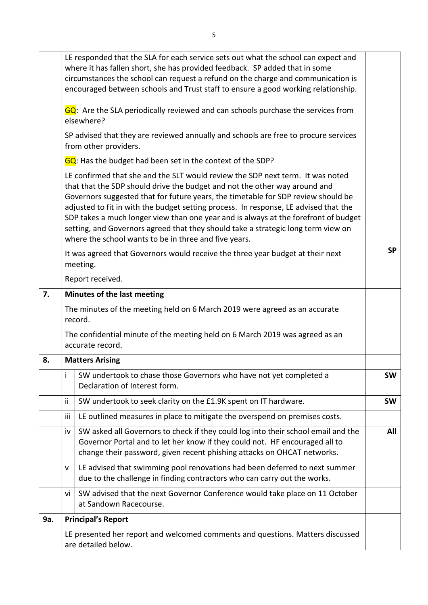|     |     | LE responded that the SLA for each service sets out what the school can expect and<br>where it has fallen short, she has provided feedback. SP added that in some<br>circumstances the school can request a refund on the charge and communication is<br>encouraged between schools and Trust staff to ensure a good working relationship.                                                                                                                                                                                                                                     |           |
|-----|-----|--------------------------------------------------------------------------------------------------------------------------------------------------------------------------------------------------------------------------------------------------------------------------------------------------------------------------------------------------------------------------------------------------------------------------------------------------------------------------------------------------------------------------------------------------------------------------------|-----------|
|     |     | GQ: Are the SLA periodically reviewed and can schools purchase the services from<br>elsewhere?                                                                                                                                                                                                                                                                                                                                                                                                                                                                                 |           |
|     |     | SP advised that they are reviewed annually and schools are free to procure services<br>from other providers.                                                                                                                                                                                                                                                                                                                                                                                                                                                                   |           |
|     |     | GQ: Has the budget had been set in the context of the SDP?                                                                                                                                                                                                                                                                                                                                                                                                                                                                                                                     |           |
|     |     | LE confirmed that she and the SLT would review the SDP next term. It was noted<br>that that the SDP should drive the budget and not the other way around and<br>Governors suggested that for future years, the timetable for SDP review should be<br>adjusted to fit in with the budget setting process. In response, LE advised that the<br>SDP takes a much longer view than one year and is always at the forefront of budget<br>setting, and Governors agreed that they should take a strategic long term view on<br>where the school wants to be in three and five years. |           |
|     |     | It was agreed that Governors would receive the three year budget at their next<br>meeting.                                                                                                                                                                                                                                                                                                                                                                                                                                                                                     | <b>SP</b> |
|     |     | Report received.                                                                                                                                                                                                                                                                                                                                                                                                                                                                                                                                                               |           |
| 7.  |     | Minutes of the last meeting                                                                                                                                                                                                                                                                                                                                                                                                                                                                                                                                                    |           |
|     |     | The minutes of the meeting held on 6 March 2019 were agreed as an accurate<br>record.                                                                                                                                                                                                                                                                                                                                                                                                                                                                                          |           |
|     |     | The confidential minute of the meeting held on 6 March 2019 was agreed as an<br>accurate record.                                                                                                                                                                                                                                                                                                                                                                                                                                                                               |           |
| 8.  |     | <b>Matters Arising</b>                                                                                                                                                                                                                                                                                                                                                                                                                                                                                                                                                         |           |
|     | Ť   | SW undertook to chase those Governors who have not yet completed a<br>Declaration of Interest form.                                                                                                                                                                                                                                                                                                                                                                                                                                                                            | <b>SW</b> |
|     | ij. | SW undertook to seek clarity on the £1.9K spent on IT hardware.                                                                                                                                                                                                                                                                                                                                                                                                                                                                                                                | <b>SW</b> |
|     | iii | LE outlined measures in place to mitigate the overspend on premises costs.                                                                                                                                                                                                                                                                                                                                                                                                                                                                                                     |           |
|     | iv  | SW asked all Governors to check if they could log into their school email and the<br>Governor Portal and to let her know if they could not. HF encouraged all to<br>change their password, given recent phishing attacks on OHCAT networks.                                                                                                                                                                                                                                                                                                                                    | All       |
|     | V   | LE advised that swimming pool renovations had been deferred to next summer<br>due to the challenge in finding contractors who can carry out the works.                                                                                                                                                                                                                                                                                                                                                                                                                         |           |
|     | Vİ  | SW advised that the next Governor Conference would take place on 11 October<br>at Sandown Racecourse.                                                                                                                                                                                                                                                                                                                                                                                                                                                                          |           |
| 9a. |     | <b>Principal's Report</b>                                                                                                                                                                                                                                                                                                                                                                                                                                                                                                                                                      |           |
|     |     | LE presented her report and welcomed comments and questions. Matters discussed<br>are detailed below.                                                                                                                                                                                                                                                                                                                                                                                                                                                                          |           |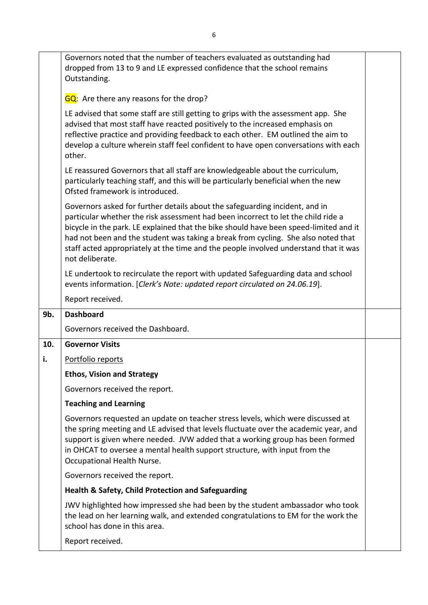|     | Governors noted that the number of teachers evaluated as outstanding had<br>dropped from 13 to 9 and LE expressed confidence that the school remains<br>Outstanding.                                                                                                                                                                                                                                                                                      |  |
|-----|-----------------------------------------------------------------------------------------------------------------------------------------------------------------------------------------------------------------------------------------------------------------------------------------------------------------------------------------------------------------------------------------------------------------------------------------------------------|--|
|     | GQ: Are there any reasons for the drop?                                                                                                                                                                                                                                                                                                                                                                                                                   |  |
|     | LE advised that some staff are still getting to grips with the assessment app. She<br>advised that most staff have reacted positively to the increased emphasis on<br>reflective practice and providing feedback to each other. EM outlined the aim to<br>develop a culture wherein staff feel confident to have open conversations with each<br>other.                                                                                                   |  |
|     | LE reassured Governors that all staff are knowledgeable about the curriculum,<br>particularly teaching staff, and this will be particularly beneficial when the new<br>Ofsted framework is introduced.                                                                                                                                                                                                                                                    |  |
|     | Governors asked for further details about the safeguarding incident, and in<br>particular whether the risk assessment had been incorrect to let the child ride a<br>bicycle in the park. LE explained that the bike should have been speed-limited and it<br>had not been and the student was taking a break from cycling. She also noted that<br>staff acted appropriately at the time and the people involved understand that it was<br>not deliberate. |  |
|     | LE undertook to recirculate the report with updated Safeguarding data and school<br>events information. [Clerk's Note: updated report circulated on 24.06.19].                                                                                                                                                                                                                                                                                            |  |
|     | Report received.                                                                                                                                                                                                                                                                                                                                                                                                                                          |  |
| 9b. | <b>Dashboard</b>                                                                                                                                                                                                                                                                                                                                                                                                                                          |  |
|     | Governors received the Dashboard.                                                                                                                                                                                                                                                                                                                                                                                                                         |  |
| 10. | <b>Governor Visits</b>                                                                                                                                                                                                                                                                                                                                                                                                                                    |  |
| i.  | Portfolio reports                                                                                                                                                                                                                                                                                                                                                                                                                                         |  |
|     | <b>Ethos, Vision and Strategy</b>                                                                                                                                                                                                                                                                                                                                                                                                                         |  |
|     | Governors received the report.                                                                                                                                                                                                                                                                                                                                                                                                                            |  |
|     | <b>Teaching and Learning</b>                                                                                                                                                                                                                                                                                                                                                                                                                              |  |
|     | Governors requested an update on teacher stress levels, which were discussed at<br>the spring meeting and LE advised that levels fluctuate over the academic year, and<br>support is given where needed. JVW added that a working group has been formed<br>in OHCAT to oversee a mental health support structure, with input from the<br>Occupational Health Nurse.                                                                                       |  |
|     | Governors received the report.                                                                                                                                                                                                                                                                                                                                                                                                                            |  |
|     | <b>Health &amp; Safety, Child Protection and Safeguarding</b>                                                                                                                                                                                                                                                                                                                                                                                             |  |
|     | JWV highlighted how impressed she had been by the student ambassador who took<br>the lead on her learning walk, and extended congratulations to EM for the work the<br>school has done in this area.                                                                                                                                                                                                                                                      |  |
|     | Report received.                                                                                                                                                                                                                                                                                                                                                                                                                                          |  |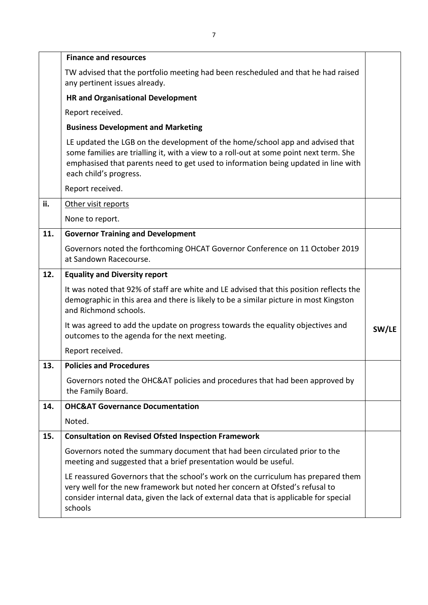|     | <b>Finance and resources</b>                                                                                                                                                                                                                                                            |       |
|-----|-----------------------------------------------------------------------------------------------------------------------------------------------------------------------------------------------------------------------------------------------------------------------------------------|-------|
|     | TW advised that the portfolio meeting had been rescheduled and that he had raised<br>any pertinent issues already.                                                                                                                                                                      |       |
|     | <b>HR and Organisational Development</b>                                                                                                                                                                                                                                                |       |
|     | Report received.                                                                                                                                                                                                                                                                        |       |
|     | <b>Business Development and Marketing</b>                                                                                                                                                                                                                                               |       |
|     | LE updated the LGB on the development of the home/school app and advised that<br>some families are trialling it, with a view to a roll-out at some point next term. She<br>emphasised that parents need to get used to information being updated in line with<br>each child's progress. |       |
|     | Report received.                                                                                                                                                                                                                                                                        |       |
| ii. | Other visit reports                                                                                                                                                                                                                                                                     |       |
|     | None to report.                                                                                                                                                                                                                                                                         |       |
| 11. | <b>Governor Training and Development</b>                                                                                                                                                                                                                                                |       |
|     | Governors noted the forthcoming OHCAT Governor Conference on 11 October 2019<br>at Sandown Racecourse.                                                                                                                                                                                  |       |
| 12. | <b>Equality and Diversity report</b>                                                                                                                                                                                                                                                    |       |
|     | It was noted that 92% of staff are white and LE advised that this position reflects the<br>demographic in this area and there is likely to be a similar picture in most Kingston<br>and Richmond schools.                                                                               |       |
|     | It was agreed to add the update on progress towards the equality objectives and<br>outcomes to the agenda for the next meeting.                                                                                                                                                         | SW/LE |
|     | Report received.                                                                                                                                                                                                                                                                        |       |
| 13. | <b>Policies and Procedures</b>                                                                                                                                                                                                                                                          |       |
|     | Governors noted the OHC&AT policies and procedures that had been approved by<br>the Family Board.                                                                                                                                                                                       |       |
| 14. | <b>OHC&amp;AT Governance Documentation</b>                                                                                                                                                                                                                                              |       |
|     | Noted.                                                                                                                                                                                                                                                                                  |       |
| 15. | <b>Consultation on Revised Ofsted Inspection Framework</b>                                                                                                                                                                                                                              |       |
|     | Governors noted the summary document that had been circulated prior to the<br>meeting and suggested that a brief presentation would be useful.                                                                                                                                          |       |
|     | LE reassured Governors that the school's work on the curriculum has prepared them<br>very well for the new framework but noted her concern at Ofsted's refusal to<br>consider internal data, given the lack of external data that is applicable for special<br>schools                  |       |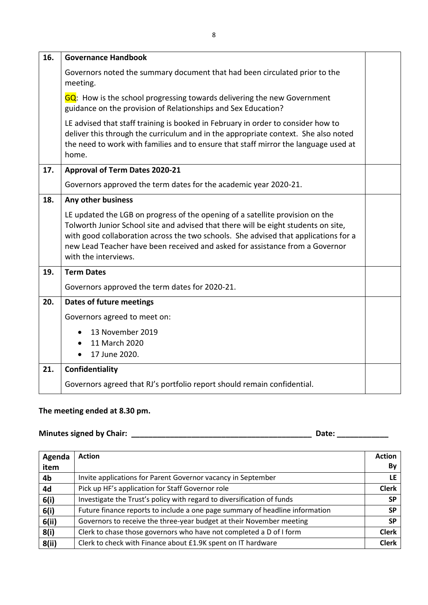| 16. | <b>Governance Handbook</b>                                                                                                                                                                                                                                                                                                                                         |  |
|-----|--------------------------------------------------------------------------------------------------------------------------------------------------------------------------------------------------------------------------------------------------------------------------------------------------------------------------------------------------------------------|--|
|     | Governors noted the summary document that had been circulated prior to the<br>meeting.                                                                                                                                                                                                                                                                             |  |
|     | GQ: How is the school progressing towards delivering the new Government<br>guidance on the provision of Relationships and Sex Education?                                                                                                                                                                                                                           |  |
|     | LE advised that staff training is booked in February in order to consider how to<br>deliver this through the curriculum and in the appropriate context. She also noted<br>the need to work with families and to ensure that staff mirror the language used at<br>home.                                                                                             |  |
| 17. | <b>Approval of Term Dates 2020-21</b>                                                                                                                                                                                                                                                                                                                              |  |
|     | Governors approved the term dates for the academic year 2020-21.                                                                                                                                                                                                                                                                                                   |  |
| 18. | Any other business                                                                                                                                                                                                                                                                                                                                                 |  |
|     | LE updated the LGB on progress of the opening of a satellite provision on the<br>Tolworth Junior School site and advised that there will be eight students on site,<br>with good collaboration across the two schools. She advised that applications for a<br>new Lead Teacher have been received and asked for assistance from a Governor<br>with the interviews. |  |
| 19. | <b>Term Dates</b>                                                                                                                                                                                                                                                                                                                                                  |  |
|     | Governors approved the term dates for 2020-21.                                                                                                                                                                                                                                                                                                                     |  |
| 20. | <b>Dates of future meetings</b>                                                                                                                                                                                                                                                                                                                                    |  |
|     | Governors agreed to meet on:                                                                                                                                                                                                                                                                                                                                       |  |
|     | 13 November 2019                                                                                                                                                                                                                                                                                                                                                   |  |
|     | 11 March 2020<br>17 June 2020.                                                                                                                                                                                                                                                                                                                                     |  |
| 21. | Confidentiality                                                                                                                                                                                                                                                                                                                                                    |  |
|     | Governors agreed that RJ's portfolio report should remain confidential.                                                                                                                                                                                                                                                                                            |  |

## **The meeting ended at 8.30 pm.**

# **Minutes signed by Chair: \_\_\_\_\_\_\_\_\_\_\_\_\_\_\_\_\_\_\_\_\_\_\_\_\_\_\_\_\_\_\_\_\_\_\_\_\_\_\_\_\_\_ Date: \_\_\_\_\_\_\_\_\_\_\_\_**

| Agenda | <b>Action</b>                                                                | <b>Action</b> |
|--------|------------------------------------------------------------------------------|---------------|
| item   |                                                                              | By            |
| 4b     | Invite applications for Parent Governor vacancy in September                 | LE.           |
| 4d     | Pick up HF's application for Staff Governor role                             | <b>Clerk</b>  |
| 6(i)   | Investigate the Trust's policy with regard to diversification of funds       | <b>SP</b>     |
| 6(i)   | Future finance reports to include a one page summary of headline information | <b>SP</b>     |
| 6(ii)  | Governors to receive the three-year budget at their November meeting         | <b>SP</b>     |
| 8(i)   | Clerk to chase those governors who have not completed a D of I form          | <b>Clerk</b>  |
| 8(ii)  | Clerk to check with Finance about £1.9K spent on IT hardware                 | <b>Clerk</b>  |